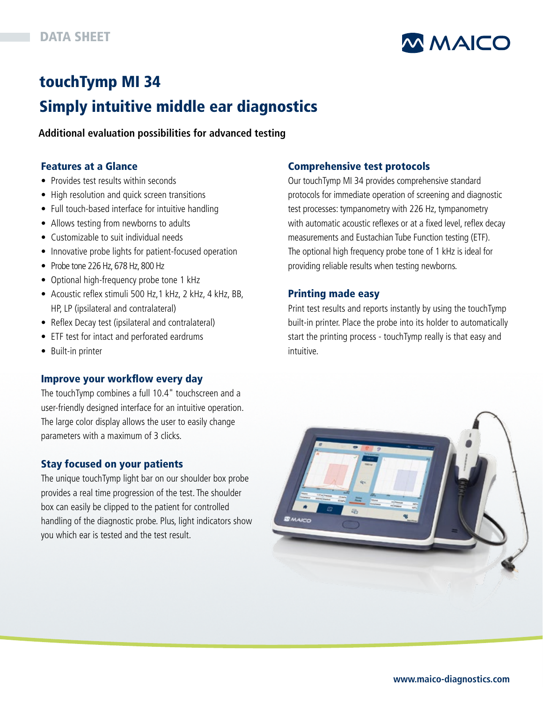

# touchTymp MI 34

## Simply intuitive middle ear diagnostics

**Additional evaluation possibilities for advanced testing**

### Features at a Glance

- Provides test results within seconds
- High resolution and quick screen transitions
- Full touch-based interface for intuitive handling
- Allows testing from newborns to adults
- Customizable to suit individual needs
- Innovative probe lights for patient-focused operation
- Probe tone 226 Hz, 678 Hz, 800 Hz
- Optional high-frequency probe tone 1 kHz
- Acoustic reflex stimuli 500 Hz,1 kHz, 2 kHz, 4 kHz, BB, HP, LP (ipsilateral and contralateral)
- Reflex Decay test (ipsilateral and contralateral)
- ETF test for intact and perforated eardrums
- Built-in printer

## Improve your workflow every day

The touchTymp combines a full 10.4" touchscreen and a user-friendly designed interface for an intuitive operation. The large color display allows the user to easily change parameters with a maximum of 3 clicks.

## Stay focused on your patients

The unique touchTymp light bar on our shoulder box probe provides a real time progression of the test. The shoulder box can easily be clipped to the patient for controlled handling of the diagnostic probe. Plus, light indicators show you which ear is tested and the test result.

## Comprehensive test protocols

Our touchTymp MI 34 provides comprehensive standard protocols for immediate operation of screening and diagnostic test processes: tympanometry with 226 Hz, tympanometry with automatic acoustic reflexes or at a fixed level, reflex decay measurements and Eustachian Tube Function testing (ETF). The optional high frequency probe tone of 1 kHz is ideal for providing reliable results when testing newborns.

### Printing made easy

Print test results and reports instantly by using the touchTymp built-in printer. Place the probe into its holder to automatically start the printing process - touchTymp really is that easy and intuitive.